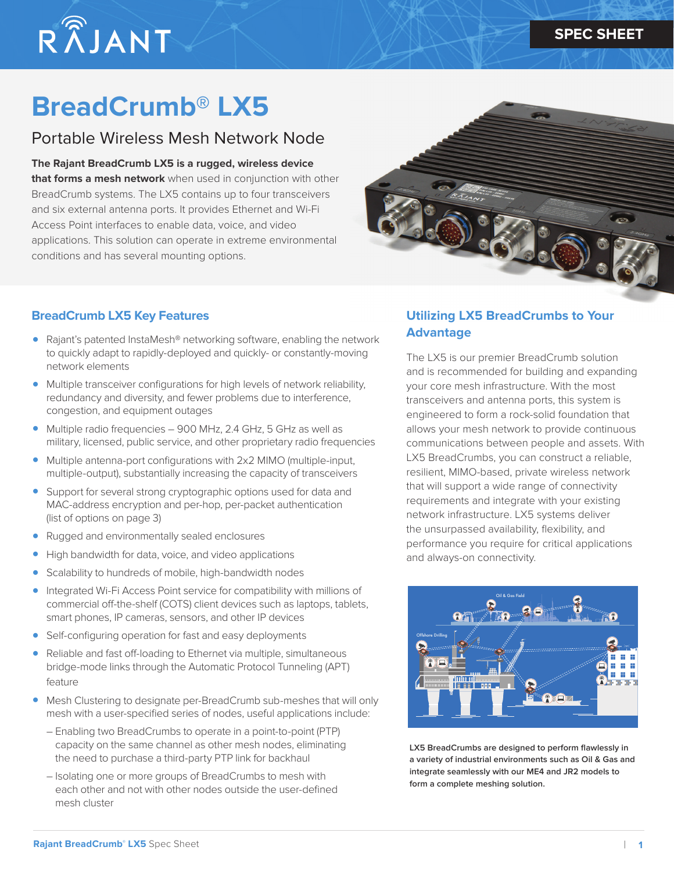# $R\widehat{\tilde{\Lambda}}$ JANT

## **BreadCrumb® LX5**

### Portable Wireless Mesh Network Node

**The Rajant BreadCrumb LX5 is a rugged, wireless device that forms a mesh network** when used in conjunction with other BreadCrumb systems. The LX5 contains up to four transceivers and six external antenna ports. It provides Ethernet and Wi-Fi Access Point interfaces to enable data, voice, and video applications. This solution can operate in extreme environmental conditions and has several mounting options.



#### **BreadCrumb LX5 Key Features**

- Rajant's patented InstaMesh® networking software, enabling the network to quickly adapt to rapidly-deployed and quickly- or constantly-moving network elements
- Multiple transceiver configurations for high levels of network reliability, redundancy and diversity, and fewer problems due to interference, congestion, and equipment outages
- Multiple radio frequencies 900 MHz, 2.4 GHz, 5 GHz as well as military, licensed, public service, and other proprietary radio frequencies
- Multiple antenna-port configurations with 2x2 MIMO (multiple-input, multiple-output), substantially increasing the capacity of transceivers
- Support for several strong cryptographic options used for data and MAC-address encryption and per-hop, per-packet authentication (list of options on page 3)
- Rugged and environmentally sealed enclosures
- High bandwidth for data, voice, and video applications
- Scalability to hundreds of mobile, high-bandwidth nodes
- Integrated Wi-Fi Access Point service for compatibility with millions of commercial off-the-shelf (COTS) client devices such as laptops, tablets, smart phones, IP cameras, sensors, and other IP devices
- Self-configuring operation for fast and easy deployments
- Reliable and fast off-loading to Ethernet via multiple, simultaneous bridge-mode links through the Automatic Protocol Tunneling (APT) feature
- Mesh Clustering to designate per-BreadCrumb sub-meshes that will only mesh with a user-specified series of nodes, useful applications include:
	- Enabling two BreadCrumbs to operate in a point-to-point (PTP) capacity on the same channel as other mesh nodes, eliminating the need to purchase a third-party PTP link for backhaul
	- Isolating one or more groups of BreadCrumbs to mesh with each other and not with other nodes outside the user-defined mesh cluster

#### **Utilizing LX5 BreadCrumbs to Your Advantage**

The LX5 is our premier BreadCrumb solution and is recommended for building and expanding your core mesh infrastructure. With the most transceivers and antenna ports, this system is engineered to form a rock-solid foundation that allows your mesh network to provide continuous communications between people and assets. With LX5 BreadCrumbs, you can construct a reliable, resilient, MIMO-based, private wireless network that will support a wide range of connectivity requirements and integrate with your existing network infrastructure. LX5 systems deliver the unsurpassed availability, flexibility, and performance you require for critical applications and always-on connectivity.



LX5 BreadCrumbs are designed to perform flawlessly in **a variety of industrial environments such as Oil & Gas and integrate seamlessly with our ME4 and JR2 models to form a complete meshing solution.**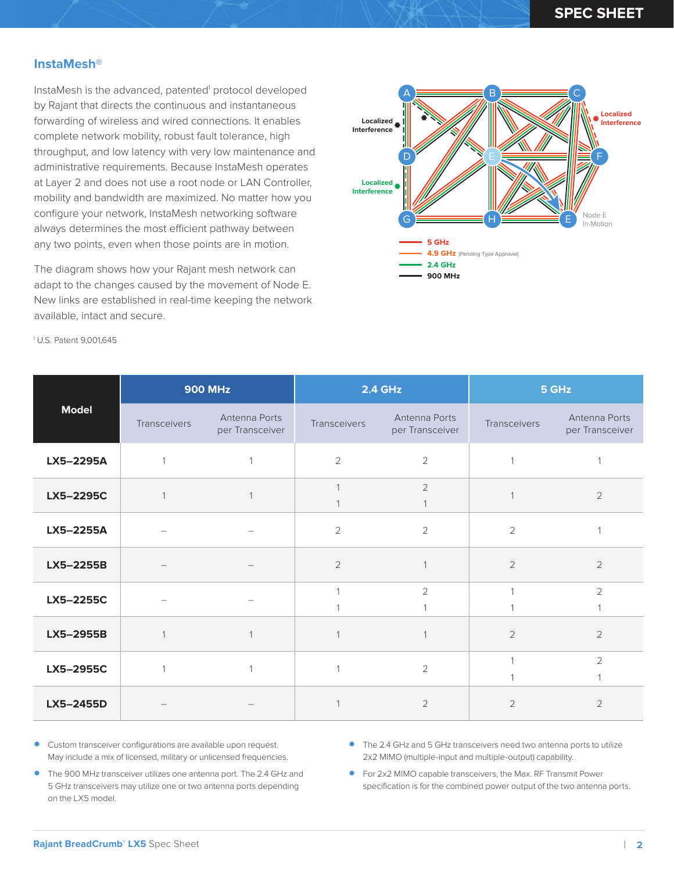#### **InstaMesh®**

InstaMesh is the advanced, patented<sup>1</sup> protocol developed by Rajant that directs the continuous and instantaneous forwarding of wireless and wired connections. It enables complete network mobility, robust fault tolerance, high throughput, and low latency with very low maintenance and administrative requirements. Because InstaMesh operates at Layer 2 and does not use a root node or LAN Controller, mobility and bandwidth are maximized. No matter how you configure your network, InstaMesh networking software always determines the most efficient pathway between any two points, even when those points are in motion.

The diagram shows how your Rajant mesh network can adapt to the changes caused by the movement of Node E. New links are established in real-time keeping the network available, intact and secure.



1 U.S. Patent 9,001,645

| <b>Model</b> | <b>900 MHz</b> |                                  | <b>2.4 GHz</b> |                                  | 5 GHz          |                                  |
|--------------|----------------|----------------------------------|----------------|----------------------------------|----------------|----------------------------------|
|              | Transceivers   | Antenna Ports<br>per Transceiver | Transceivers   | Antenna Ports<br>per Transceiver | Transceivers   | Antenna Ports<br>per Transceiver |
| LX5-2295A    |                | $\mathbf{1}$                     | $\overline{2}$ | 2                                | $\mathbf 1$    |                                  |
| LX5-2295C    |                |                                  |                | $\overline{2}$                   |                | $\sqrt{2}$                       |
| LX5-2255A    |                |                                  | $\overline{2}$ | $\overline{2}$                   | $\overline{2}$ |                                  |
| LX5-2255B    |                |                                  | $\overline{2}$ |                                  | 2              | $\overline{2}$                   |
| LX5-2255C    |                |                                  |                | $\overline{2}$                   | $\overline{1}$ | $\overline{2}$                   |
| LX5-2955B    | $\mathbf 1$    | $\mathbf 1$                      |                |                                  | $\overline{2}$ | $\overline{2}$                   |
| LX5-2955C    |                | $\mathbf{1}$                     | 1              | $\overline{2}$                   | 1              | $\overline{2}$                   |
| LX5-2455D    |                |                                  |                | $\overline{2}$                   | 2              | $\overline{2}$                   |

- Custom transceiver configurations are available upon request. May include a mix of licensed, military or unlicensed frequencies.
- The 2.4 GHz and 5 GHz transceivers need two antenna ports to utilize 2x2 MIMO (multiple-input and multiple-output) capability.
- The 900 MHz transceiver utilizes one antenna port. The 2.4 GHz and 5 GHz transceivers may utilize one or two antenna ports depending on the LX5 model.
- For 2x2 MIMO capable transceivers, the Max. RF Transmit Power specification is for the combined power output of the two antenna ports.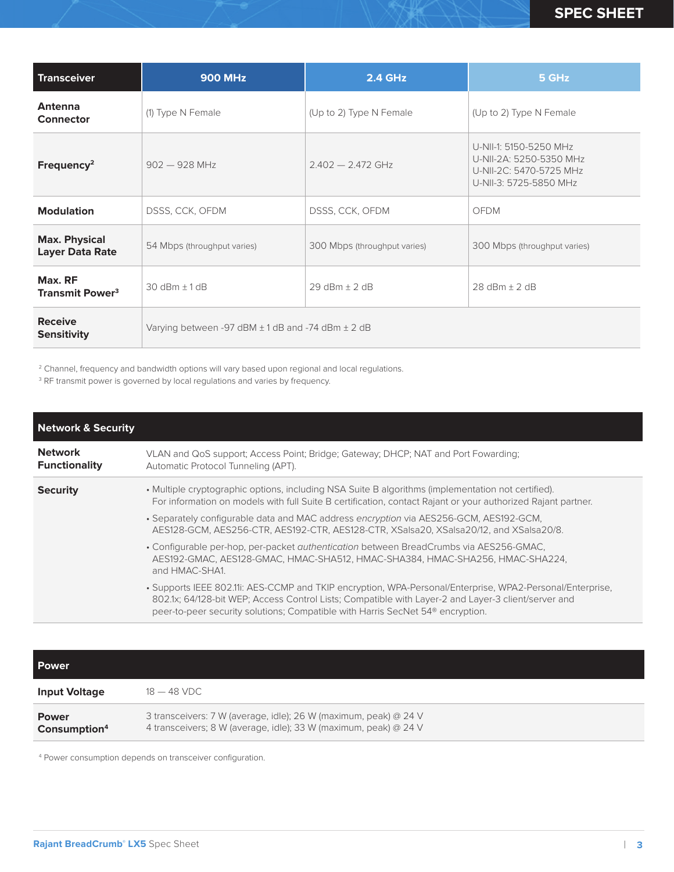| <b>Transceiver</b>                             | <b>900 MHz</b>                                            | 2.4 GHz                      | 5 GHz                                                                                                  |
|------------------------------------------------|-----------------------------------------------------------|------------------------------|--------------------------------------------------------------------------------------------------------|
| <b>Antenna</b><br><b>Connector</b>             | (1) Type N Female                                         | (Up to 2) Type N Female      | (Up to 2) Type N Female                                                                                |
| Frequency <sup>2</sup>                         | $902 - 928$ MHz                                           | $2402 - 2472$ GHz            | U-NII-1: 5150-5250 MHz<br>U-NII-2A: 5250-5350 MHz<br>U-NII-2C: 5470-5725 MHz<br>U-NII-3: 5725-5850 MHz |
| <b>Modulation</b>                              | DSSS, CCK, OFDM                                           | DSSS, CCK, OFDM              | <b>OFDM</b>                                                                                            |
| <b>Max. Physical</b><br><b>Layer Data Rate</b> | 54 Mbps (throughput varies)                               | 300 Mbps (throughput varies) | 300 Mbps (throughput varies)                                                                           |
| Max. RF<br><b>Transmit Power<sup>3</sup></b>   | $30 dBm + 1dB$                                            | $29$ dBm + 2 dB              | $28$ dBm + $2$ dB                                                                                      |
| <b>Receive</b><br><b>Sensitivity</b>           | Varying between -97 dBM $\pm$ 1 dB and -74 dBm $\pm$ 2 dB |                              |                                                                                                        |

<sup>2</sup> Channel, frequency and bandwidth options will vary based upon regional and local regulations.

<sup>3</sup> RF transmit power is governed by local regulations and varies by frequency.

| <b>Network &amp; Security</b>          |                                                                                                                                                                                                                                                                                                                                                                                                       |
|----------------------------------------|-------------------------------------------------------------------------------------------------------------------------------------------------------------------------------------------------------------------------------------------------------------------------------------------------------------------------------------------------------------------------------------------------------|
| <b>Network</b><br><b>Functionality</b> | VLAN and QoS support; Access Point; Bridge; Gateway; DHCP; NAT and Port Fowarding;<br>Automatic Protocol Tunneling (APT).                                                                                                                                                                                                                                                                             |
| <b>Security</b>                        | • Multiple cryptographic options, including NSA Suite B algorithms (implementation not certified).<br>For information on models with full Suite B certification, contact Rajant or your authorized Rajant partner.<br>. Separately configurable data and MAC address encryption via AES256-GCM, AES192-GCM,<br>AES128-GCM, AES256-CTR, AES192-CTR, AES128-CTR, XSalsa20, XSalsa20/12, and XSalsa20/8. |
|                                        | . Configurable per-hop, per-packet <i>quthentication</i> between BreadCrumbs via AES256-GMAC,<br>AES192-GMAC, AES128-GMAC, HMAC-SHA512, HMAC-SHA384, HMAC-SHA256, HMAC-SHA224,<br>and HMAC-SHA1.                                                                                                                                                                                                      |
|                                        | • Supports IEEE 802.11: AES-CCMP and TKIP encryption, WPA-Personal/Enterprise, WPA2-Personal/Enterprise,<br>802.1x; 64/128-bit WEP; Access Control Lists; Compatible with Layer-2 and Layer-3 client/server and<br>peer-to-peer security solutions; Compatible with Harris SecNet 54 <sup>®</sup> encryption.                                                                                         |

| <b>Power</b>                             |                                                                                                                                      |
|------------------------------------------|--------------------------------------------------------------------------------------------------------------------------------------|
| <b>Input Voltage</b>                     | $18-48$ VDC                                                                                                                          |
| <b>Power</b><br>Consumption <sup>4</sup> | 3 transceivers: 7 W (average, idle); 26 W (maximum, peak) @ 24 V<br>4 transceivers; 8 W (average, idle); 33 W (maximum, peak) @ 24 V |

4 Power consumption depends on transceiver configuration.